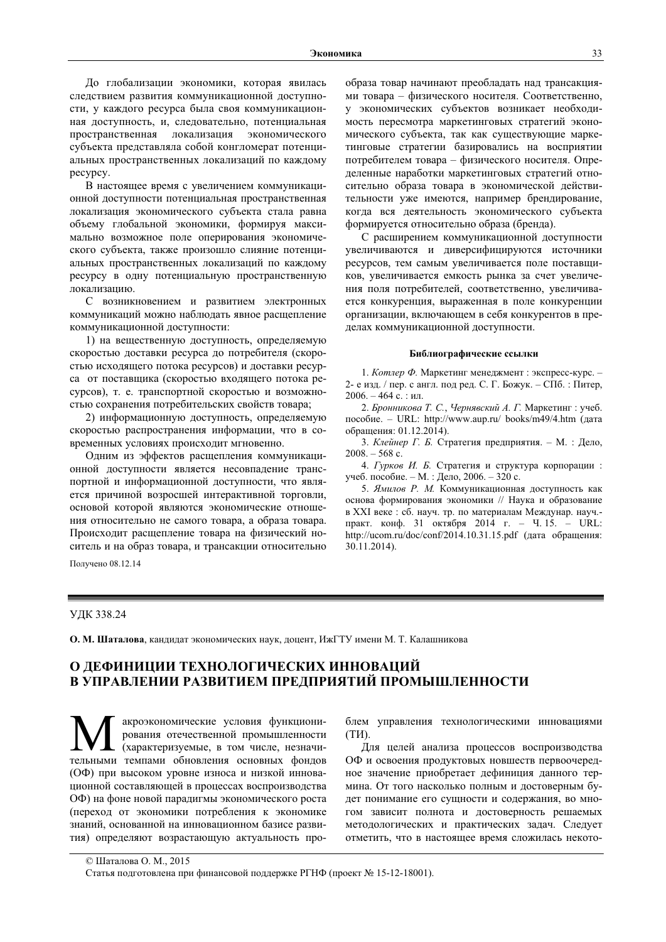До глобализации экономики, которая явилась следствием развития коммуникационной доступности, у каждого ресурса была своя коммуникационная доступность, и, следовательно, потенциальная пространственная локализация экономического субъекта представляла собой конгломерат потенциальных пространственных локализаций по каждому pecypcy.

В настоящее время с увеличением коммуникационной доступности потенциальная пространственная локализация экономического субъекта стала равна объему глобальной экономики, формируя максимально возможное поле оперирования экономического субъекта, также произошло слияние потенциальных пространственных локализаций по каждому ресурсу в одну потенциальную пространственную локализацию.

С возникновением и развитием электронных коммуникаций можно наблюдать явное расщепление коммуникационной доступности:

1) на вещественную доступность, определяемую скоростью доставки ресурса до потребителя (скоростью исходящего потока ресурсов) и доставки ресурса от поставщика (скоростью входящего потока ресурсов), т. е. транспортной скоростью и возможностью сохранения потребительских свойств товара;

2) информационную доступность, определяемую скоростью распространения информации, что в современных условиях происходит мгновенно.

Одним из эффектов расщепления коммуникационной доступности является несовпадение транспортной и информационной доступности, что является причиной возросшей интерактивной торговли, основой которой являются экономические отношения относительно не самого товара, а образа товара. Происходит расщепление товара на физический носитель и на образ товара, и трансакции относительно образа товар начинают преобладать над трансакциями товара - физического носителя. Соответственно, у экономических субъектов возникает необходимость пересмотра маркетинговых стратегий экономического субъекта, так как существующие маркетинговые стратегии базировались на восприятии потребителем товара - физического носителя. Определенные наработки маркетинговых стратегий относительно образа товара в экономической действительности уже имеются, например брендирование, когда вся деятельность экономического субъекта формируется относительно образа (бренда).

С расширением коммуникационной доступности увеличиваются и диверсифицируются источники ресурсов, тем самым увеличивается поле поставщиков, увеличивается емкость рынка за счет увеличения поля потребителей, соответственно, увеличивается конкуренция, выраженная в поле конкуренции организации, включающем в себя конкурентов в пределах коммуникационной доступности.

#### Библиографические ссылки

1. Котлер Ф. Маркетинг менеджмент : экспресс-курс. -2-е изд. / пер. с англ. под ред. С. Г. Божук. - СПб. : Питер,  $2006. - 464$  с.: ил.

2. Бронникова Т. С., Чернявский А. Г. Маркетинг : учеб. пособие. - URL: http://www.aup.ru/ books/m49/4.htm (дата обращения: 01.12.2014).

3. Клейнер Г. Б. Стратегия предприятия. - М. : Дело,  $2008. - 568$  c.

4. Гурков И. Б. Стратегия и структура корпорации: учеб. пособие. - М. : Дело, 2006. - 320 с.

5. Ямилов Р. М. Коммуникационная доступность как основа формирования экономики // Наука и образование в XXI веке: сб. науч. тр. по материалам Междунар. науч.практ. конф. 31 октября 2014 г. - Ч.15. - URL: http://ucom.ru/doc/conf/2014.10.31.15.pdf (дата обращения: 30.11.2014).

Получено 08.12.14

#### УДК 338.24

О. М. Шаталова, кандидат экономических наук, доцент, ИжГТУ имени М. Т. Калашникова

# О ДЕФИНИЦИИ ТЕХНОЛОГИЧЕСКИХ ИННОВАЦИЙ В УПРАВЛЕНИИ РАЗВИТИЕМ ПРЕДПРИЯТИЙ ПРОМЫШЛЕННОСТИ

акроэкономические условия функционирования отечественной промышленности (характеризуемые, в том числе, незначительными темпами обновления основных фондов (ОФ) при высоком уровне износа и низкой инновационной составляющей в процессах воспроизводства ОФ) на фоне новой парадигмы экономического роста (переход от экономики потребления к экономике знаний, основанной на инновационном базисе развития) определяют возрастающую актуальность про-

блем управления технологическими инновациями  $(TM)$ .

Лля целей анализа процессов воспроизводства ОФ и освоения продуктовых новшеств первоочередное значение приобретает дефиниция данного термина. От того насколько полным и достоверным будет понимание его сущности и содержания, во многом зависит полнота и достоверность решаемых методологических и практических задач. Следует отметить, что в настоящее время сложилась некото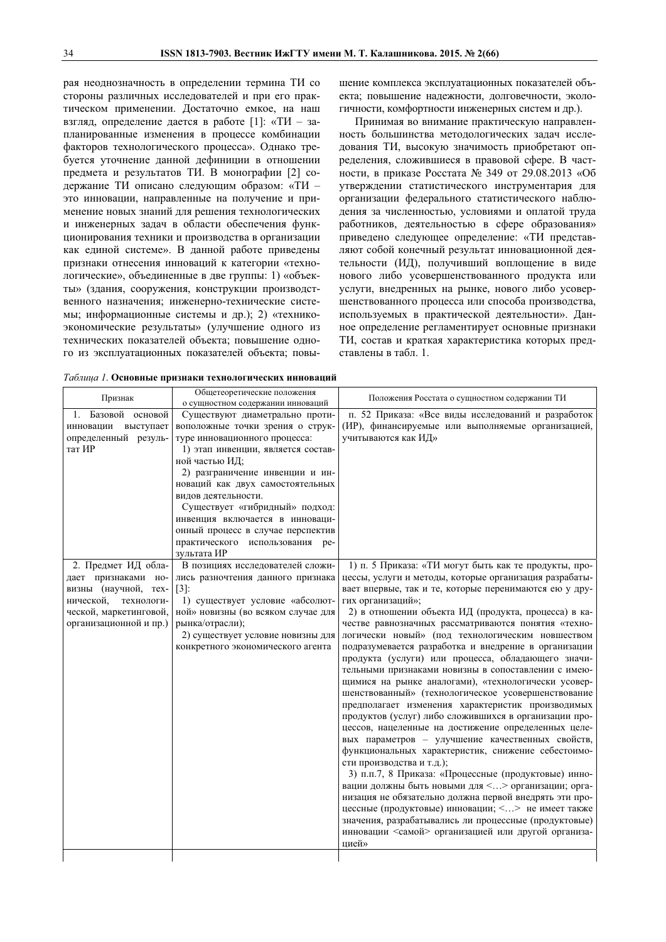рая неоднозначность в определении термина ТИ со стороны различных исследователей и при его практическом применении. Достаточно емкое, на наш взгляд, определение дается в работе [1]: «ТИ - запланированные изменения в процессе комбинации факторов технологического процесса». Однако требуется уточнение данной дефиниции в отношении предмета и результатов ТИ. В монографии [2] содержание ТИ описано следующим образом: «ТИ это инновации, направленные на получение и применение новых знаний для решения технологических и инженерных задач в области обеспечения функционирования техники и производства в организации как единой системе». В данной работе приведены признаки отнесения инноваций к категории «технологические», объединенные в две группы: 1) «объекты» (здания, сооружения, конструкции производственного назначения; инженерно-технические системы; информационные системы и др.); 2) «техникоэкономические результаты» (улучшение одного из технических показателей объекта; повышение одного из эксплуатационных показателей объекта; повышение комплекса эксплуатационных показателей объекта; повышение надежности, долговечности, экологичности, комфортности инженерных систем и др.).

Принимая во внимание практическую направленность большинства методологических задач исследования ТИ, высокую значимость приобретают определения, сложившиеся в правовой сфере. В частности, в приказе Росстата № 349 от 29.08.2013 «Об утверждении статистического инструментария для организации федерального статистического наблюдения за численностью, условиями и оплатой труда работников, деятельностью в сфере образования» приведено следующее определение: «ТИ представляют собой конечный результат инновационной деятельности (ИД), получивший воплощение в виде нового либо усовершенствованного продукта или услуги, внедренных на рынке, нового либо усовершенствованного процесса или способа производства, используемых в практической деятельности». Данное определение регламентирует основные признаки ТИ, состав и краткая характеристика которых представлены в табл. 1.

|  |  | Таблица 1. Основные признаки технологических инноваций |  |
|--|--|--------------------------------------------------------|--|
|  |  |                                                        |  |

| Признак                 | Общетеоретические положения<br>о сущностном содержании инноваций | Положения Росстата о сущностном содержании ТИ                                                                |
|-------------------------|------------------------------------------------------------------|--------------------------------------------------------------------------------------------------------------|
| 1. Базовой основой      | Существуют диаметрально проти-                                   | п. 52 Приказа: «Все виды исследований и разработок                                                           |
| инновации<br>выступает  | воположные точки зрения о струк-                                 | (ИР), финансируемые или выполняемые организацией,                                                            |
| определенный резуль-    | туре инновационного процесса:                                    | учитываются как ИД»                                                                                          |
| тат ИР                  | 1) этап инвенции, является состав-                               |                                                                                                              |
|                         | ной частью ИД;                                                   |                                                                                                              |
|                         | 2) разграничение инвенции и ин-                                  |                                                                                                              |
|                         | новаций как двух самостоятельных                                 |                                                                                                              |
|                         | видов деятельности.                                              |                                                                                                              |
|                         | Существует «гибридный» подход:                                   |                                                                                                              |
|                         | инвенция включается в инноваци-                                  |                                                                                                              |
|                         | онный процесс в случае перспектив                                |                                                                                                              |
|                         | практического использования ре-                                  |                                                                                                              |
|                         | зультата ИР                                                      |                                                                                                              |
| 2. Предмет ИД обла-     | В позициях исследователей сложи-                                 | 1) п. 5 Приказа: «ТИ могут быть как те продукты, про-                                                        |
| дает признаками но-     | лись разночтения данного признака                                | цессы, услуги и методы, которые организация разрабаты-                                                       |
| визны (научной, тех-    | [3]:                                                             | вает впервые, так и те, которые перенимаются ею у дру-                                                       |
| нической,<br>технологи- | 1) существует условие «абсолют-                                  | гих организаций»;                                                                                            |
| ческой, маркетинговой,  | ной» новизны (во всяком случае для                               | 2) в отношении объекта ИД (продукта, процесса) в ка-                                                         |
| организационной и пр.)  | рынка/отрасли);                                                  | честве равнозначных рассматриваются понятия «техно-                                                          |
|                         | 2) существует условие новизны для                                | логически новый» (под технологическим новшеством                                                             |
|                         | конкретного экономического агента                                | подразумевается разработка и внедрение в организации                                                         |
|                         |                                                                  | продукта (услуги) или процесса, обладающего значи-                                                           |
|                         |                                                                  | тельными признаками новизны в сопоставлении с имею-                                                          |
|                         |                                                                  | щимися на рынке аналогами), «технологически усовер-                                                          |
|                         |                                                                  | шенствованный» (технологическое усовершенствование                                                           |
|                         |                                                                  | предполагает изменения характеристик производимых                                                            |
|                         |                                                                  | продуктов (услуг) либо сложившихся в организации про-<br>цессов, нацеленные на достижение определенных целе- |
|                         |                                                                  | вых параметров - улучшение качественных свойств,                                                             |
|                         |                                                                  | функциональных характеристик, снижение себестоимо-                                                           |
|                         |                                                                  | сти производства и т.д.);                                                                                    |
|                         |                                                                  | 3) п.п.7, 8 Приказа: «Процессные (продуктовые) инно-                                                         |
|                         |                                                                  | вации должны быть новыми для <> организации; орга-                                                           |
|                         |                                                                  | низация не обязательно должна первой внедрять эти про-                                                       |
|                         |                                                                  | цессные (продуктовые) инновации; <> не имеет также                                                           |
|                         |                                                                  | значения, разрабатывались ли процессные (продуктовые)                                                        |
|                         |                                                                  | инновации <самой> организацией или другой организа-                                                          |
|                         |                                                                  | цией»                                                                                                        |
|                         |                                                                  |                                                                                                              |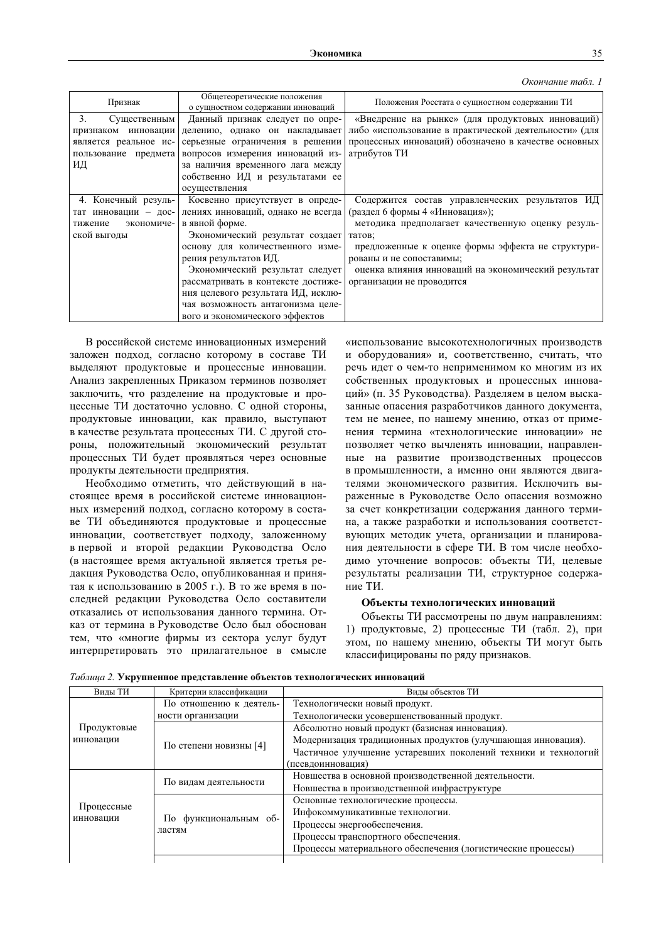| Окончание табл. 1 |  |  |
|-------------------|--|--|
|-------------------|--|--|

| Признак                                                                   | Общетеоретические положения<br>о сущностном содержании инноваций                                                                                                                                                                                                                                                                                                                                   | Положения Росстата о сущностном содержании ТИ                                                                                                                                                                                                                                                                          |  |
|---------------------------------------------------------------------------|----------------------------------------------------------------------------------------------------------------------------------------------------------------------------------------------------------------------------------------------------------------------------------------------------------------------------------------------------------------------------------------------------|------------------------------------------------------------------------------------------------------------------------------------------------------------------------------------------------------------------------------------------------------------------------------------------------------------------------|--|
| Существенным<br>3.<br>является реальное ис-<br>пользование предмета<br>ИД | Данный признак следует по опре-<br>признаком инновации делению, однако он накладывает<br>серьезные ограничения в решении<br>вопросов измерения инноваций из-<br>за наличия временного лага между<br>собственно ИД и результатами ее<br>осуществления                                                                                                                                               | «Внедрение на рынке» (для продуктовых инноваций)<br>либо «использование в практической деятельности» (для<br>процессных инноваций) обозначено в качестве основных<br>атрибутов ТИ                                                                                                                                      |  |
| 4. Конечный резуль-<br>экономиче-<br>тижение<br>ской выгоды               | Косвенно присутствует в опреде-<br>тат инновации - дос- лениях инноваций, однако не всегда<br>в явной форме.<br>Экономический результат создает<br>основу для количественного изме-<br>рения результатов ИД.<br>Экономический результат следует<br>рассматривать в контексте достиже-<br>ния целевого результата ИД, исклю-<br>чая возможность антагонизма целе-<br>вого и экономического эффектов | Содержится состав управленческих результатов ИД<br>(раздел 6 формы 4 «Инновация»);<br>методика предполагает качественную оценку резуль-<br>татов;<br>предложенные к оценке формы эффекта не структури-<br>рованы и не сопоставимы;<br>оценка влияния инноваций на экономический результат<br>организации не проводится |  |

В российской системе инновационных измерений заложен подход, согласно которому в составе ТИ выделяют продуктовые и процессные инновации. Анализ закрепленных Приказом терминов позволяет заключить, что разделение на продуктовые и процессные ТИ достаточно условно. С одной стороны, продуктовые инновации, как правило, выступают в качестве результата процессных ТИ. С другой стороны, положительный экономический результат процессных ТИ будет проявляться через основные продукты деятельности предприятия.

Необходимо отметить, что действующий в настоящее время в российской системе инновационных измерений подход, согласно которому в составе ТИ объединяются продуктовые и процессные инновации, соответствует подходу, заложенному в первой и второй редакции Руководства Осло (в настоящее время актуальной является третья редакция Руководства Осло, опубликованная и принятая к использованию в 2005 г.). В то же время в последней редакции Руководства Осло составители отказались от использования данного термина. Отказ от термина в Руководстве Осло был обоснован тем, что «многие фирмы из сектора услуг будут интерпретировать это прилагательное в смысле

«использование высокотехнологичных производств и оборудования» и, соответственно, считать, что речь идет о чем-то неприменимом ко многим из их собственных продуктовых и процессных инноваций» (п. 35 Руководства). Разделяем в целом высказанные опасения разработчиков данного документа, тем не менее, по нашему мнению, отказ от применения термина «технологические инновации» не позволяет четко вычленять инновации, направленные на развитие производственных процессов в промышленности, а именно они являются двигателями экономического развития. Исключить выраженные в Руководстве Осло опасения возможно за счет конкретизации содержания данного термина, а также разработки и использования соответствующих методик учета, организации и планирования деятельности в сфере ТИ. В том числе необходимо уточнение вопросов: объекты ТИ, целевые результаты реализации ТИ, структурное содержание ТИ.

## Объекты технологических инноваций

Объекты ТИ рассмотрены по двум направлениям: 1) продуктовые, 2) процессные ТИ (табл. 2), при этом, по нашему мнению, объекты ТИ могут быть классифицированы по ряду признаков.

| Виды ТИ                 | Критерии классификации  | Вилы объектов ТИ                                              |  |
|-------------------------|-------------------------|---------------------------------------------------------------|--|
|                         | По отношению к деятель- | Технологически новый продукт.                                 |  |
|                         | ности организации       | Технологически усовершенствованный продукт.                   |  |
| Продуктовые             | По степени новизны [4]  | Абсолютно новый продукт (базисная инновация).                 |  |
| инновации               |                         | Модернизация традиционных продуктов (улучшающая инновация).   |  |
|                         |                         | Частичное улучшение устаревших поколений техники и технологий |  |
|                         |                         | (псевдоинновация)                                             |  |
|                         | По видам деятельности   | Новшества в основной производственной деятельности.           |  |
|                         |                         | Новшества в производственной инфраструктуре                   |  |
|                         | По функциональным об-   | Основные технологические процессы.                            |  |
| Процессные<br>инновации |                         | Инфокоммуникативные технологии.                               |  |
|                         |                         | Процессы энергообеспечения.                                   |  |
|                         | ластям                  | Процессы транспортного обеспечения.                           |  |
|                         |                         | Процессы материального обеспечения (логистические процессы)   |  |
|                         |                         |                                                               |  |

Таблица 2. Укрупненное представление объектов технологических инноваций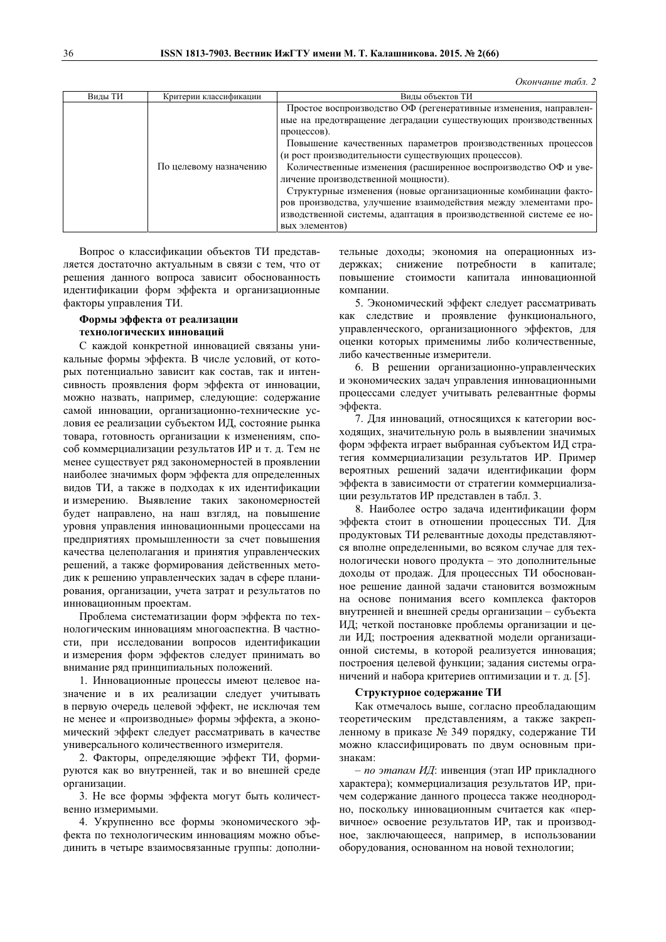Окончание табл. 2

| Виды ТИ | Критерии классификации | Виды объектов ТИ                                                                                       |
|---------|------------------------|--------------------------------------------------------------------------------------------------------|
|         |                        | Простое воспроизводство ОФ (регенеративные изменения, направлен-                                       |
|         |                        | ные на предотвращение деградации существующих производственных<br>процессов).                          |
|         |                        | Повышение качественных параметров производственных процессов                                           |
|         | По целевому назначению | (и рост производительности существующих процессов).                                                    |
|         |                        | Количественные изменения (расширенное воспроизводство ОФ и уве-<br>личение производственной мощности). |
|         |                        | Структурные изменения (новые организационные комбинации факто-                                         |
|         |                        | ров производства, улучшение взаимодействия между элементами про-                                       |
|         |                        | изводственной системы, адаптация в производственной системе ее но-                                     |
|         |                        | вых элементов)                                                                                         |

Вопрос о классификации объектов ТИ представляется достаточно актуальным в связи с тем, что от решения данного вопроса зависит обоснованность идентификации форм эффекта и организационные факторы управления ТИ.

# Формы эффекта от реализации технологических инноваций

С каждой конкретной инновацией связаны уникальные формы эффекта. В числе условий, от которых потенциально зависит как состав, так и интенсивность проявления форм эффекта от инновации, можно назвать, например, следующие: содержание самой инновации, организационно-технические условия ее реализации субъектом ИД, состояние рынка товара, готовность организации к изменениям, способ коммерциализации результатов ИР и т. д. Тем не менее существует ряд закономерностей в проявлении наиболее значимых форм эффекта для определенных видов ТИ, а также в подходах к их идентификации и измерению. Выявление таких закономерностей будет направлено, на наш взгляд, на повышение уровня управления инновационными процессами на предприятиях промышленности за счет повышения качества целеполагания и принятия управленческих решений, а также формирования действенных методик к решению управленческих задач в сфере планирования, организации, учета затрат и результатов по инновационным проектам.

Проблема систематизации форм эффекта по технологическим инновациям многоаспектна. В частности, при исследовании вопросов идентификации и измерения форм эффектов следует принимать во внимание ряд принципиальных положений.

1. Инновационные процессы имеют целевое назначение и в их реализации следует учитывать в первую очередь целевой эффект, не исключая тем не менее и «производные» формы эффекта, а экономический эффект следует рассматривать в качестве универсального количественного измерителя.

2. Факторы, определяющие эффект ТИ, формируются как во внутренней, так и во внешней среде организации.

3. Не все формы эффекта могут быть количественно измеримыми.

4. Укрупненно все формы экономического эффекта по технологическим инновациям можно объединить в четыре взаимосвязанные группы: дополнительные доходы; экономия на операционных издержках; снижение потребности в капитале; повышение стоимости капитала инновационной компании.

5. Экономический эффект следует рассматривать как следствие и проявление функционального, управленческого, организационного эффектов, для оценки которых применимы либо количественные, либо качественные измерители.

6. В решении организационно-управленческих и экономических задач управления инновационными процессами следует учитывать релевантные формы эффекта.

7. Для инноваций, относящихся к категории восходящих, значительную роль в выявлении значимых форм эффекта играет выбранная субъектом ИД стратегия коммерциализации результатов ИР. Пример вероятных решений задачи идентификации форм эффекта в зависимости от стратегии коммерциализации результатов ИР представлен в табл. 3.

8. Наиболее остро задача идентификации форм эффекта стоит в отношении процессных ТИ. Для продуктовых ТИ релевантные доходы представляются вполне определенными, во всяком случае для технологически нового продукта - это дополнительные доходы от продаж. Для процессных ТИ обоснованное решение данной задачи становится возможным на основе понимания всего комплекса факторов внутренней и внешней среды организации - субъекта ИД; четкой постановке проблемы организации и цели ИД; построения адекватной модели организационной системы, в которой реализуется инновация; построения целевой функции; задания системы ограничений и набора критериев оптимизации и т. д. [5].

# Структурное содержание ТИ

Как отмечалось выше, согласно преобладающим теоретическим представлениям, а также закрепленному в приказе № 349 порядку, содержание ТИ можно классифицировать по двум основным признакам:

- по этапам ИД: инвенция (этап ИР прикладного характера); коммерциализация результатов ИР, причем содержание данного процесса также неоднородно, поскольку инновационным считается как «первичное» освоение результатов ИР, так и производное, заключающееся, например, в использовании оборудования, основанном на новой технологии;